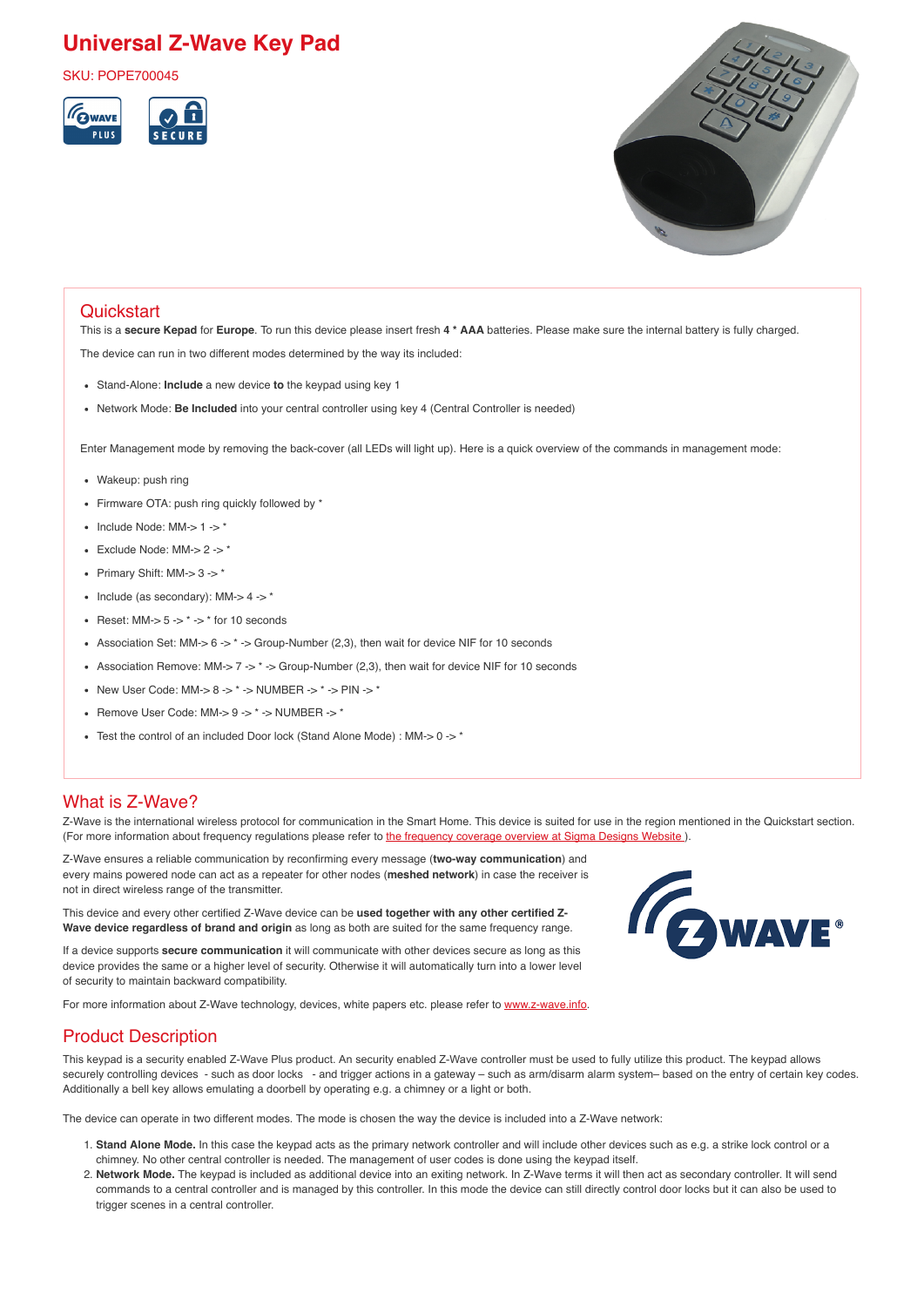# **Universal Z-Wave Key Pad**

SKU: POPE700045





## **Quickstart**

This is a **secure Kepad** for **Europe**. To run this device please insert fresh **4 \* AAA** batteries. Please make sure the internal battery is fully charged. The device can run in two different modes determined by the way its included:

- Stand-Alone: **Include** a new device **to** the keypad using key 1
- Network Mode: **Be Included** into your central controller using key 4 (Central Controller is needed)

Enter Management mode by removing the back-cover (all LEDs will light up). Here is a quick overview of the commands in management mode:

- Wakeup: push ring
- Firmware OTA: push ring quickly followed by \*
- $\bullet$  Include Node: MM- $> 1$  - $>$ \*
- $\bullet$  Exclude Node: MM-> 2 -> \*
- Primary Shift: MM- $> 3$  - $>$ \*
- $\bullet$  Include (as secondary): MM-> 4 -> \*
- Reset:  $MM-5 -^* -^*$  for 10 seconds
- Association Set: MM-> 6 ->  $*$  -> Group-Number (2,3), then wait for device NIF for 10 seconds
- Association Remove: MM->  $7 \rightarrow$  \* -> Group-Number (2,3), then wait for device NIF for 10 seconds
- New User Code: MM- $> 8 \rightarrow$  \* - $>$  NUMBER - $>$  \* - $>$  PIN - $>$  \*
- Remove User Code: MM-> 9 -> \* -> NUMBER -> \*
- Test the control of an included Door lock (Stand Alone Mode) : MM-> 0 -> \*

## What is Z-Wave?

Z-Wave is the international wireless protocol for communication in the Smart Home. This device is suited for use in the region mentioned in the Quickstart section. (For more information about frequency regulations please refer to the frequency coverage overview at Sigma Designs Website).

Z-Wave ensures a reliable communication by reconfirming every message (**two-way communication**) and every mains powered node can act as a repeater for other nodes (**meshed network**) in case the receiver is not in direct wireless range of the transmitter.

This device and every other certified Z-Wave device can be **used together with any other certified Z-Wave device regardless of brand and origin** as long as both are suited for the same frequency range.

If a device supports **secure communication** it will communicate with other devices secure as long as this device provides the same or a higher level of security. Otherwise it will automatically turn into a lower level of security to maintain backward compatibility.

For more information about Z-Wave technology, devices, white papers etc. please refer to www.z-wave.info.

## Product Description

This keypad is a security enabled Z-Wave Plus product. An security enabled Z-Wave controller must be used to fully utilize this product. The keypad allows securely controlling devices - such as door locks - and trigger actions in a gateway – such as arm/disarm alarm system– based on the entry of certain key codes. Additionally a bell key allows emulating a doorbell by operating e.g. a chimney or a light or both.

The device can operate in two different modes. The mode is chosen the way the device is included into a Z-Wave network:

- 1. **Stand Alone Mode.** In this case the keypad acts as the primary network controller and will include other devices such as e.g. a strike lock control or a chimney. No other central controller is needed. The management of user codes is done using the keypad itself.
- 2. **Network Mode.** The keypad is included as additional device into an exiting network. In Z-Wave terms it will then act as secondary controller. It will send commands to a central controller and is managed by this controller. In this mode the device can still directly control door locks but it can also be used to trigger scenes in a central controller.

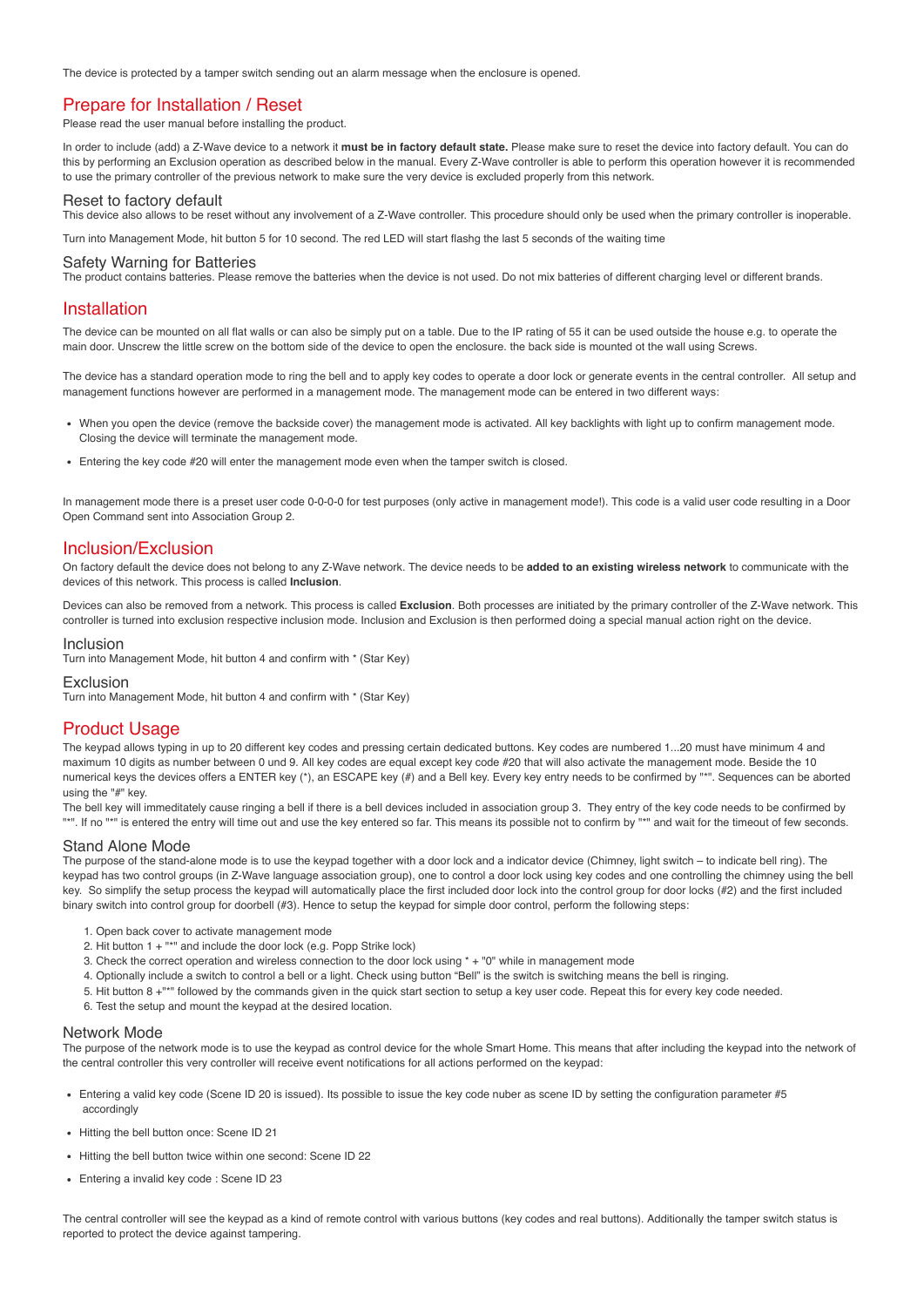The device is protected by a tamper switch sending out an alarm message when the enclosure is opened.

#### Prepare for Installation / Reset

Please read the user manual before installing the product.

In order to include (add) a Z-Wave device to a network it **must be in factory default state.** Please make sure to reset the device into factory default. You can do this by performing an Exclusion operation as described below in the manual. Every Z-Wave controller is able to perform this operation however it is recommended to use the primary controller of the previous network to make sure the very device is excluded properly from this network.

#### Reset to factory default

This device also allows to be reset without any involvement of a Z-Wave controller. This procedure should only be used when the primary controller is inoperable.

Turn into Management Mode, hit button 5 for 10 second. The red LED will start flashg the last 5 seconds of the waiting time

#### Safety Warning for Batteries

The product contains batteries. Please remove the batteries when the device is not used. Do not mix batteries of different charging level or different brands.

#### Installation

The device can be mounted on all flat walls or can also be simply put on a table. Due to the IP rating of 55 it can be used outside the house e.g. to operate the main door. Unscrew the little screw on the bottom side of the device to open the enclosure. the back side is mounted ot the wall using Screws.

The device has a standard operation mode to ring the bell and to apply key codes to operate a door lock or generate events in the central controller. All setup and management functions however are performed in a management mode. The management mode can be entered in two different ways:

- When you open the device (remove the backside cover) the management mode is activated. All key backlights with light up to confirm management mode. Closing the device will terminate the management mode.
- Entering the key code #20 will enter the management mode even when the tamper switch is closed.

In management mode there is a preset user code 0-0-0-0 for test purposes (only active in management mode!). This code is a valid user code resulting in a Door Open Command sent into Association Group 2.

#### Inclusion/Exclusion

On factory default the device does not belong to any Z-Wave network. The device needs to be **added to an existing wireless network** to communicate with the devices of this network. This process is called **Inclusion**.

Devices can also be removed from a network. This process is called **Exclusion**. Both processes are initiated by the primary controller of the Z-Wave network. This controller is turned into exclusion respective inclusion mode. Inclusion and Exclusion is then performed doing a special manual action right on the device.

#### Inclusion

Turn into Management Mode, hit button 4 and confirm with \* (Star Key)

#### Exclusion

Turn into Management Mode, hit button 4 and confirm with \* (Star Key)

#### Product Usage

The keypad allows typing in up to 20 different key codes and pressing certain dedicated buttons. Key codes are numbered 1...20 must have minimum 4 and maximum 10 digits as number between 0 und 9. All key codes are equal except key code #20 that will also activate the management mode. Beside the 10 numerical keys the devices offers a ENTER key (\*), an ESCAPE key (#) and a Bell key. Every key entry needs to be confirmed by "\*". Sequences can be aborted using the "#" key.

The bell key will immeditately cause ringing a bell if there is a bell devices included in association group 3. They entry of the key code needs to be confirmed by "\*". If no "\*" is entered the entry will time out and use the key entered so far. This means its possible not to confirm by "\*" and wait for the timeout of few seconds.

#### Stand Alone Mode

The purpose of the stand-alone mode is to use the keypad together with a door lock and a indicator device (Chimney, light switch – to indicate bell ring). The keypad has two control groups (in Z-Wave language association group), one to control a door lock using key codes and one controlling the chimney using the bell key. So simplify the setup process the keypad will automatically place the first included door lock into the control group for door locks (#2) and the first included binary switch into control group for doorbell (#3). Hence to setup the keypad for simple door control, perform the following steps:

- 1. Open back cover to activate management mode
- 2. Hit button 1 + "\*" and include the door lock (e.g. Popp Strike lock)
- 3. Check the correct operation and wireless connection to the door lock using \* + "0" while in management mode
- 4. Optionally include a switch to control a bell or a light. Check using button "Bell" is the switch is switching means the bell is ringing.
- 5. Hit button 8 +"\*" followed by the commands given in the quick start section to setup a key user code. Repeat this for every key code needed.
- 6. Test the setup and mount the keypad at the desired location.

#### Network Mode

The purpose of the network mode is to use the keypad as control device for the whole Smart Home. This means that after including the keypad into the network of the central controller this very controller will receive event notifications for all actions performed on the keypad:

- Entering a valid key code (Scene ID 20 is issued). Its possible to issue the key code nuber as scene ID by setting the configuration parameter #5 accordingly
- Hitting the bell button once: Scene ID 21
- Hitting the bell button twice within one second: Scene ID 22
- Entering a invalid key code : Scene ID 23

The central controller will see the keypad as a kind of remote control with various buttons (key codes and real buttons). Additionally the tamper switch status is reported to protect the device against tampering.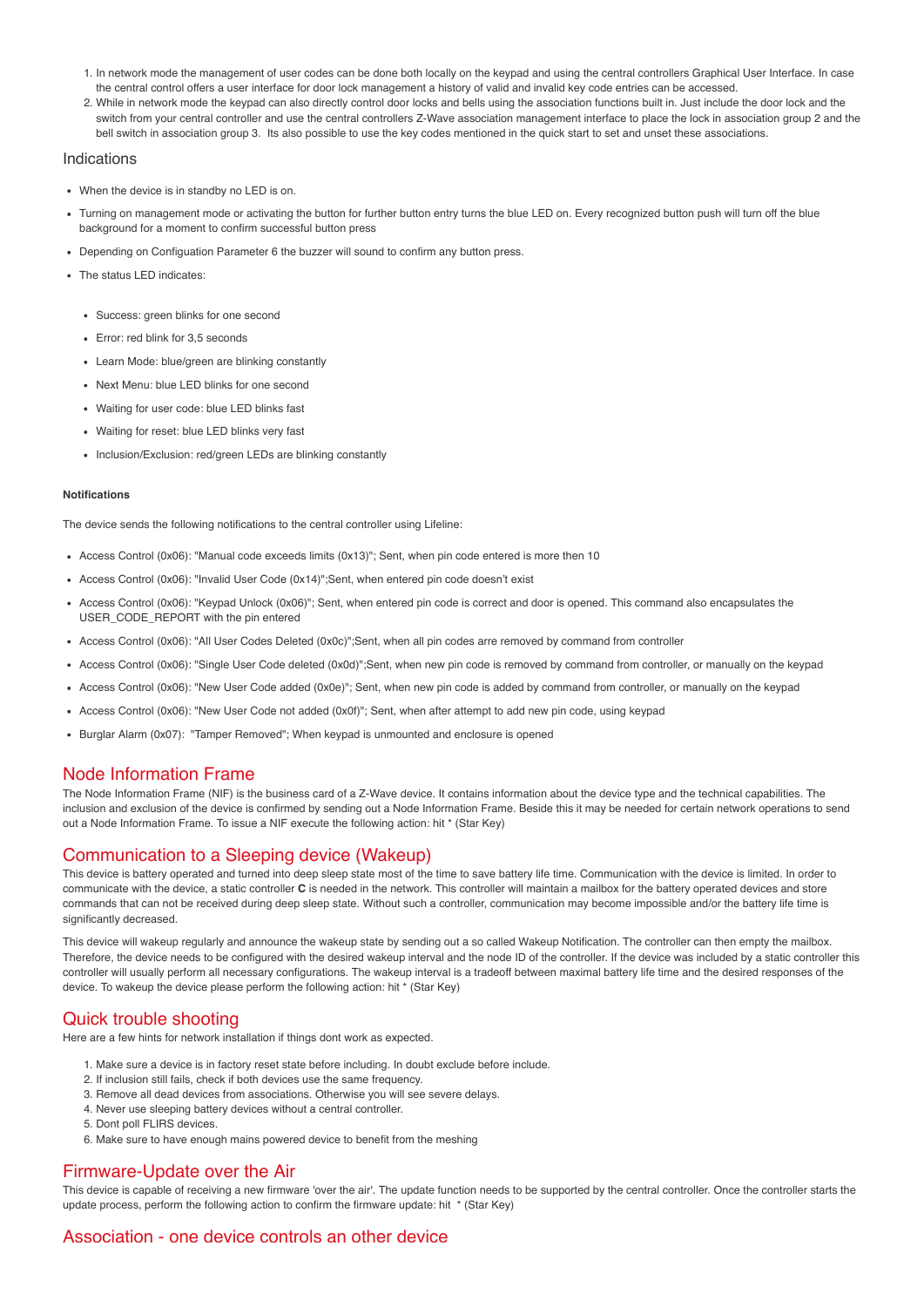- 1. In network mode the management of user codes can be done both locally on the keypad and using the central controllers Graphical User Interface. In case the central control offers a user interface for door lock management a history of valid and invalid key code entries can be accessed.
- 2. While in network mode the keypad can also directly control door locks and bells using the association functions built in. Just include the door lock and the switch from your central controller and use the central controllers Z-Wave association management interface to place the lock in association group 2 and the bell switch in association group 3. Its also possible to use the key codes mentioned in the quick start to set and unset these associations.

#### Indications

- When the device is in standby no LED is on.
- Turning on management mode or activating the button for further button entry turns the blue LED on. Every recognized button push will turn off the blue background for a moment to confirm successful button press
- Depending on Configuation Parameter 6 the buzzer will sound to confirm any button press.
- The status LED indicates:
	- Success: green blinks for one second
	- Error: red blink for 3.5 seconds
	- Learn Mode: blue/green are blinking constantly
	- Next Menu: blue LED blinks for one second
	- Waiting for user code: blue LED blinks fast
	- Waiting for reset: blue LED blinks very fast
	- Inclusion/Exclusion: red/green LEDs are blinking constantly

#### **Notifications**

The device sends the following notifications to the central controller using Lifeline:

- Access Control (0x06): "Manual code exceeds limits (0x13)"; Sent, when pin code entered is more then 10
- Access Control (0x06): "Invalid User Code (0x14)";Sent, when entered pin code doesn't exist
- Access Control (0x06): "Keypad Unlock (0x06)"; Sent, when entered pin code is correct and door is opened. This command also encapsulates the USER\_CODE\_REPORT with the pin entered
- Access Control (0x06): "All User Codes Deleted (0x0c)";Sent, when all pin codes arre removed by command from controller
- Access Control (0x06): "Single User Code deleted (0x0d)";Sent, when new pin code is removed by command from controller, or manually on the keypad
- Access Control (0x06): "New User Code added (0x0e)"; Sent, when new pin code is added by command from controller, or manually on the keypad
- Access Control (0x06): "New User Code not added (0x0f)"; Sent, when after attempt to add new pin code, using keypad
- Burglar Alarm (0x07): "Tamper Removed"; When keypad is unmounted and enclosure is opened

## Node Information Frame

The Node Information Frame (NIF) is the business card of a Z-Wave device. It contains information about the device type and the technical capabilities. The inclusion and exclusion of the device is confirmed by sending out a Node Information Frame. Beside this it may be needed for certain network operations to send out a Node Information Frame. To issue a NIF execute the following action: hit \* (Star Key)

## Communication to a Sleeping device (Wakeup)

This device is battery operated and turned into deep sleep state most of the time to save battery life time. Communication with the device is limited. In order to communicate with the device, a static controller **C** is needed in the network. This controller will maintain a mailbox for the battery operated devices and store commands that can not be received during deep sleep state. Without such a controller, communication may become impossible and/or the battery life time is significantly decreased.

This device will wakeup regularly and announce the wakeup state by sending out a so called Wakeup Notification. The controller can then empty the mailbox. Therefore, the device needs to be configured with the desired wakeup interval and the node ID of the controller. If the device was included by a static controller this controller will usually perform all necessary configurations. The wakeup interval is a tradeoff between maximal battery life time and the desired responses of the device. To wakeup the device please perform the following action: hit \* (Star Key)

## Quick trouble shooting

Here are a few hints for network installation if things dont work as expected.

- 1. Make sure a device is in factory reset state before including. In doubt exclude before include.
- 2. If inclusion still fails, check if both devices use the same frequency.
- 3. Remove all dead devices from associations. Otherwise you will see severe delays.
- 4. Never use sleeping battery devices without a central controller.
- 5. Dont poll FLIRS devices.
- 6. Make sure to have enough mains powered device to benefit from the meshing

### Firmware-Update over the Air

This device is capable of receiving a new firmware 'over the air'. The update function needs to be supported by the central controller. Once the controller starts the update process, perform the following action to confirm the firmware update: hit \* (Star Key)

## Association - one device controls an other device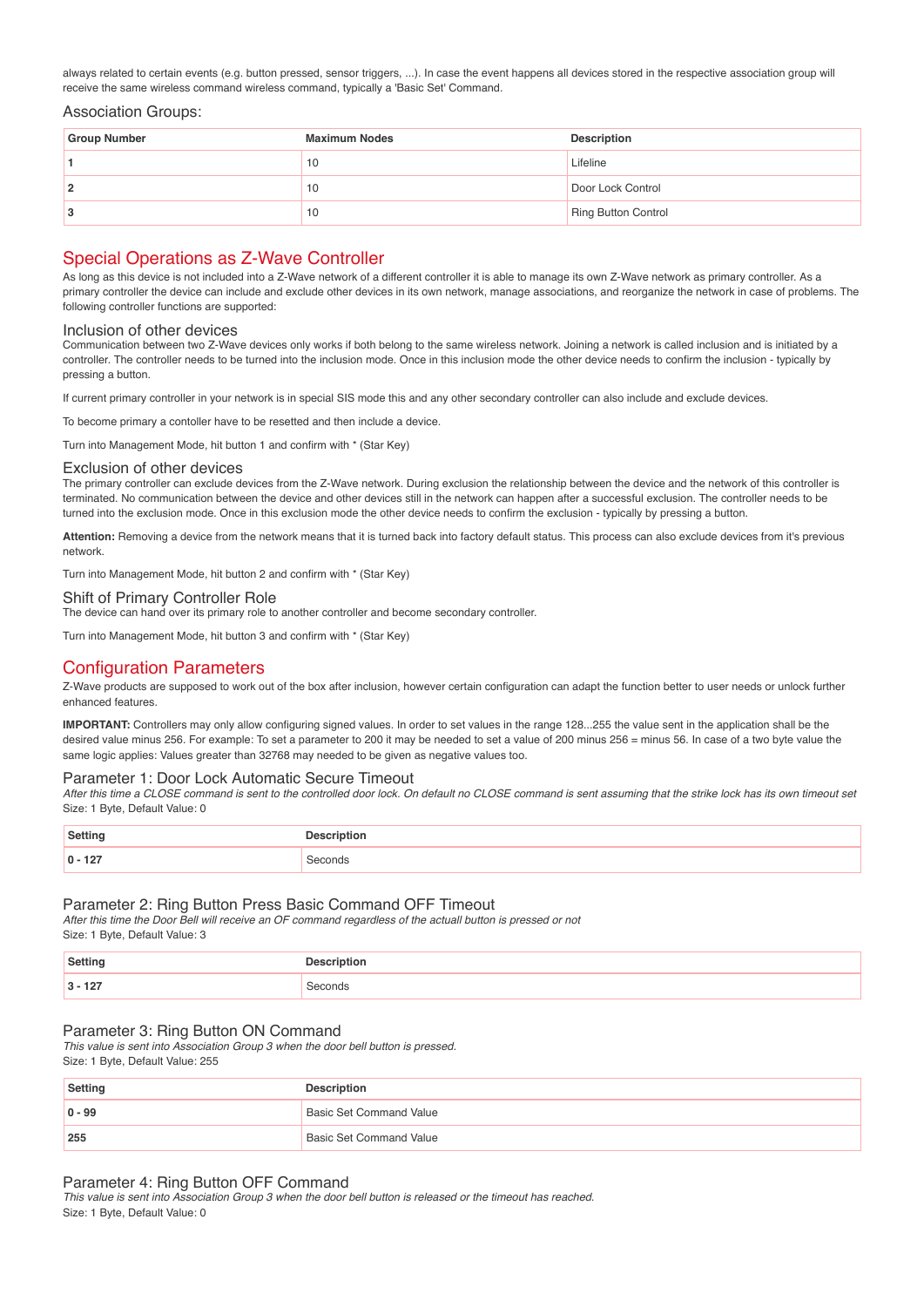always related to certain events (e.g. button pressed, sensor triggers, ...). In case the event happens all devices stored in the respective association group will receive the same wireless command wireless command, typically a 'Basic Set' Command.

#### Association Groups:

| <b>Group Number</b> | <b>Maximum Nodes</b> | <b>Description</b>  |
|---------------------|----------------------|---------------------|
|                     | 10                   | Lifeline            |
|                     | 10                   | Door Lock Control   |
|                     | 10                   | Ring Button Control |

## Special Operations as Z-Wave Controller

As long as this device is not included into a Z-Wave network of a different controller it is able to manage its own Z-Wave network as primary controller. As a primary controller the device can include and exclude other devices in its own network, manage associations, and reorganize the network in case of problems. The following controller functions are supported:

#### Inclusion of other devices

Communication between two Z-Wave devices only works if both belong to the same wireless network. Joining a network is called inclusion and is initiated by a controller. The controller needs to be turned into the inclusion mode. Once in this inclusion mode the other device needs to confirm the inclusion - typically by pressing a button.

If current primary controller in your network is in special SIS mode this and any other secondary controller can also include and exclude devices.

To become primary a contoller have to be resetted and then include a device.

Turn into Management Mode, hit button 1 and confirm with \* (Star Key)

#### Exclusion of other devices

The primary controller can exclude devices from the Z-Wave network. During exclusion the relationship between the device and the network of this controller is terminated. No communication between the device and other devices still in the network can happen after a successful exclusion. The controller needs to be turned into the exclusion mode. Once in this exclusion mode the other device needs to confirm the exclusion - typically by pressing a button.

**Attention:** Removing a device from the network means that it is turned back into factory default status. This process can also exclude devices from it's previous network.

Turn into Management Mode, hit button 2 and confirm with \* (Star Key)

#### Shift of Primary Controller Role

The device can hand over its primary role to another controller and become secondary controller.

Turn into Management Mode, hit button 3 and confirm with \* (Star Key)

## Configuration Parameters

Z-Wave products are supposed to work out of the box after inclusion, however certain configuration can adapt the function better to user needs or unlock further enhanced features.

**IMPORTANT:** Controllers may only allow configuring signed values. In order to set values in the range 128...255 the value sent in the application shall be the desired value minus 256. For example: To set a parameter to 200 it may be needed to set a value of 200 minus 256 = minus 56. In case of a two byte value the same logic applies: Values greater than 32768 may needed to be given as negative values too.

#### Parameter 1: Door Lock Automatic Secure Timeout

After this time a CLOSE command is sent to the controlled door lock. On default no CLOSE command is sent assuming that the strike lock has its own timeout set Size: 1 Byte, Default Value: 0

| <b>Setting</b>  | Descrintion         |
|-----------------|---------------------|
| $10 - 127$<br>. | econds <sup>3</sup> |

#### Parameter 2: Ring Button Press Basic Command OFF Timeout

After this time the Door Bell will receive an OF command regardless of the actuall button is pressed or not

Size: 1 Byte, Default Value: 3

| Setting         | :crintion  |
|-----------------|------------|
| -<br>. .<br>. . | CDRO<br>JS |

#### Parameter 3: Ring Button ON Command

This value is sent into Association Group 3 when the door bell button is pressed. Size: 1 Byte, Default Value: 255

| Setting    | <b>Description</b>             |
|------------|--------------------------------|
| $ 0 - 99 $ | <b>Basic Set Command Value</b> |
| 255        | <b>Basic Set Command Value</b> |

#### Parameter 4: Ring Button OFF Command

This value is sent into Association Group 3 when the door bell button is released or the timeout has reached. Size: 1 Byte, Default Value: 0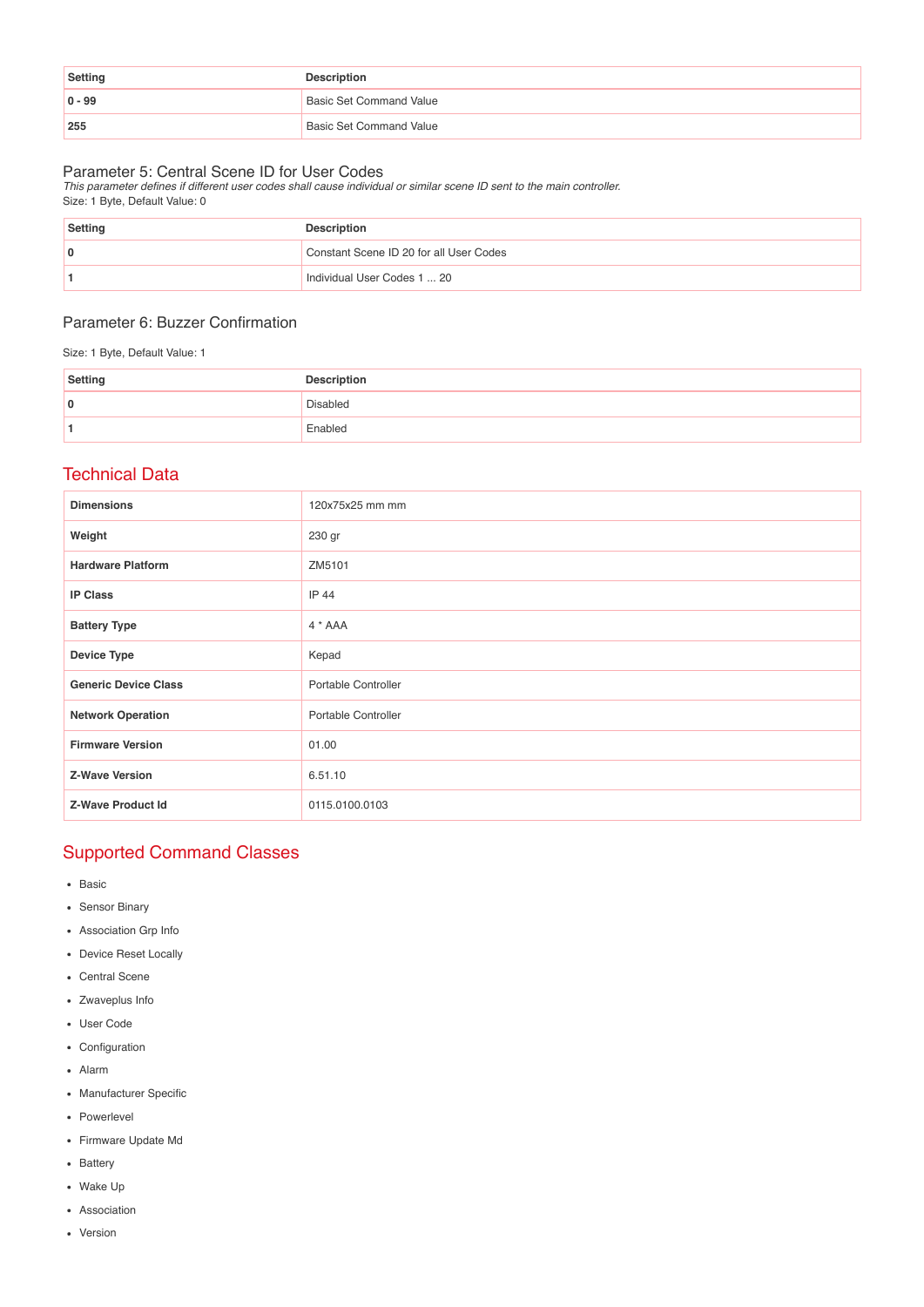| Setting    | <b>Description</b>             |
|------------|--------------------------------|
| $ 0 - 99 $ | <b>Basic Set Command Value</b> |
| 255        | <b>Basic Set Command Value</b> |

Parameter 5: Central Scene ID for User Codes This parameter defines if different user codes shall cause individual or similar scene ID sent to the main controller. Size: 1 Byte, Default Value: 0

| <b>Setting</b> | <b>Description</b>                      |
|----------------|-----------------------------------------|
|                | Constant Scene ID 20 for all User Codes |
|                | Individual User Codes 1  20             |

## Parameter 6: Buzzer Confirmation

Size: 1 Byte, Default Value: 1

| Setting | <b>Description</b> |
|---------|--------------------|
| 0       | <b>Disabled</b>    |
|         | Enabled            |

## Technical Data

| <b>Dimensions</b>           | 120x75x25 mm mm     |
|-----------------------------|---------------------|
| Weight                      | 230 gr              |
| <b>Hardware Platform</b>    | ZM5101              |
| <b>IP Class</b>             | IP 44               |
| <b>Battery Type</b>         | $4 * AAA$           |
| <b>Device Type</b>          | Kepad               |
| <b>Generic Device Class</b> | Portable Controller |
| <b>Network Operation</b>    | Portable Controller |
| <b>Firmware Version</b>     | 01.00               |
| <b>Z-Wave Version</b>       | 6.51.10             |
| <b>Z-Wave Product Id</b>    | 0115.0100.0103      |

# Supported Command Classes

- Basic
- Sensor Binary
- Association Grp Info
- Device Reset Locally
- Central Scene
- Zwaveplus Info
- User Code
- Configuration
- Alarm
- Manufacturer Specific
- Powerlevel
- Firmware Update Md
- Battery
- Wake Up
- Association
- Version